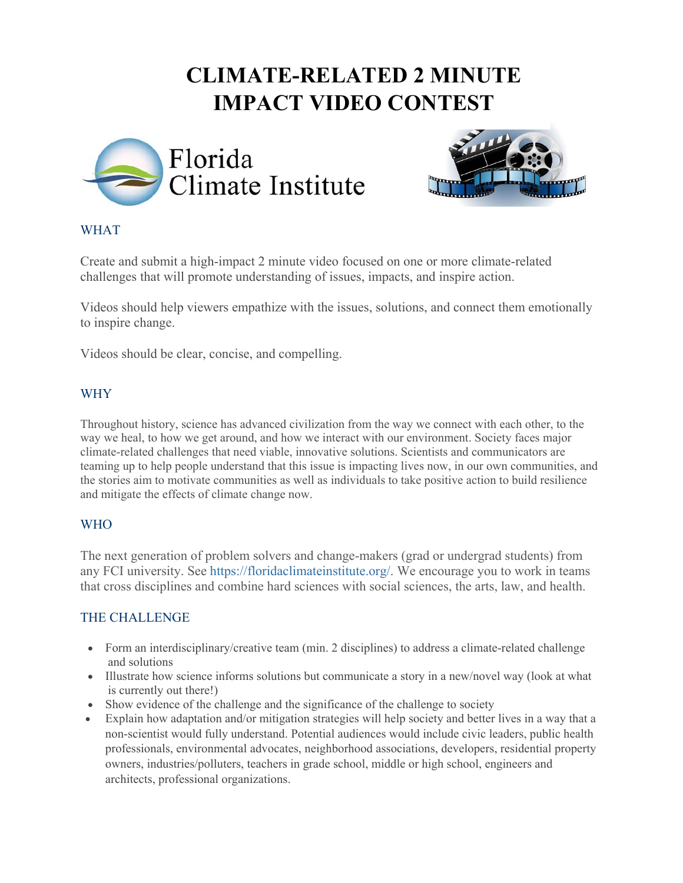# **CLIMATE-RELATED 2 MINUTE IMPACT VIDEO CONTEST**





#### WHAT

Create and submit a high-impact 2 minute video focused on one or more climate-related challenges that will promote understanding of issues, impacts, and inspire action.

Videos should help viewers empathize with the issues, solutions, and connect them emotionally to inspire change.

Videos should be clear, concise, and compelling.

#### WHY

Throughout history, science has advanced civilization from the way we connect with each other, to the way we heal, to how we get around, and how we interact with our environment. Society faces major climate-related challenges that need viable, innovative solutions. Scientists and communicators are teaming up to help people understand that this issue is impacting lives now, in our own communities, and the stories aim to motivate communities as well as individuals to take positive action to build resilience and mitigate the effects of climate change now.

#### WHO

The next generation of problem solvers and change-makers (grad or undergrad students) from any FCI university. See https://floridaclimateinstitute.org/. We encourage you to work in teams that cross disciplines and combine hard sciences with social sciences, the arts, law, and health.

#### THE CHALLENGE

- Form an interdisciplinary/creative team (min. 2 disciplines) to address a climate-related challenge and solutions
- Illustrate how science informs solutions but communicate a story in a new/novel way (look at what is currently out there!)
- Show evidence of the challenge and the significance of the challenge to society
- Explain how adaptation and/or mitigation strategies will help society and better lives in a way that a non-scientist would fully understand. Potential audiences would include civic leaders, public health professionals, environmental advocates, neighborhood associations, developers, residential property owners, industries/polluters, teachers in grade school, middle or high school, engineers and architects, professional organizations.